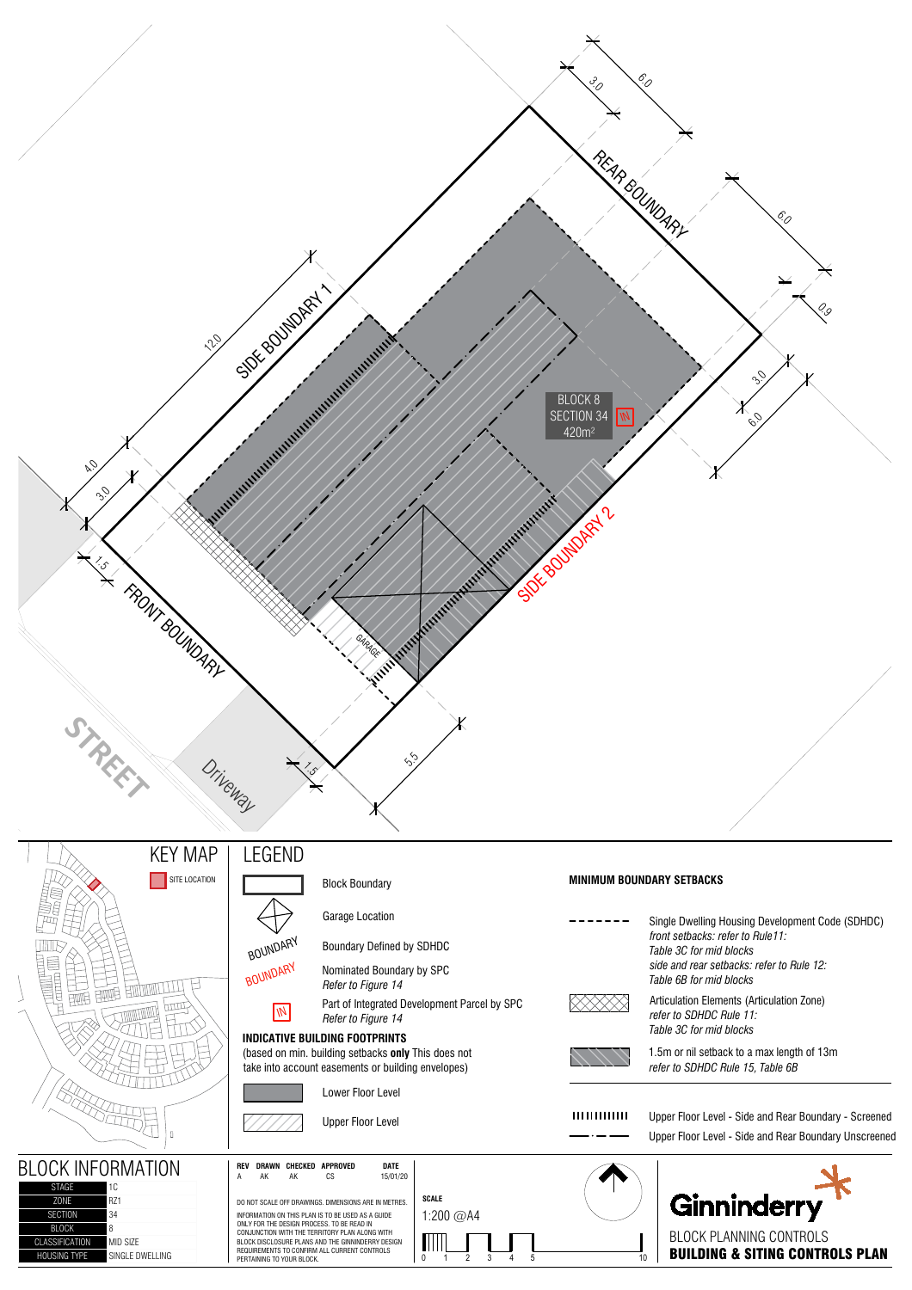